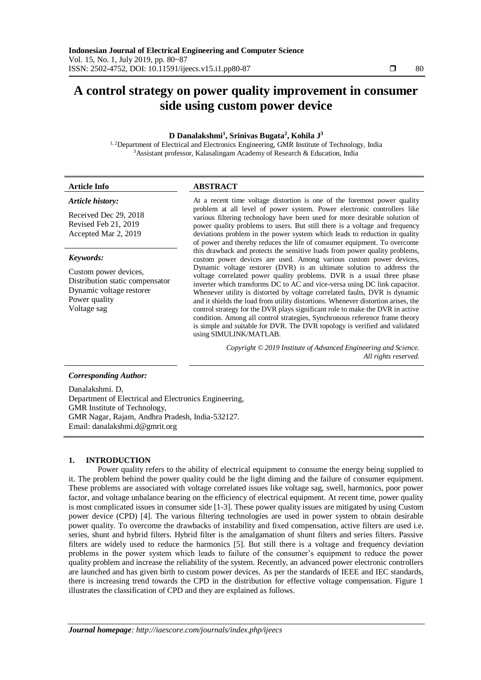# **A control strategy on power quality improvement in consumer side using custom power device**

# **D Danalakshmi<sup>1</sup> , Srinivas Bugata<sup>2</sup> , Kohila J<sup>3</sup>**

<sup>1, 2</sup>Department of Electrical and Electronics Engineering, GMR Institute of Technology, India <sup>3</sup>Assistant professor, Kalasalingam Academy of Research & Education, India

| <b>Article Info</b>                                                                                                               | <b>ABSTRACT</b>                                                                                                                                                                                                                                                                                                                                                                                                                                                                                                                                                                                                                                                                                                                                                                                                                                                                                                                                                                                                                                                                                                                                                                                                                                                                                            |
|-----------------------------------------------------------------------------------------------------------------------------------|------------------------------------------------------------------------------------------------------------------------------------------------------------------------------------------------------------------------------------------------------------------------------------------------------------------------------------------------------------------------------------------------------------------------------------------------------------------------------------------------------------------------------------------------------------------------------------------------------------------------------------------------------------------------------------------------------------------------------------------------------------------------------------------------------------------------------------------------------------------------------------------------------------------------------------------------------------------------------------------------------------------------------------------------------------------------------------------------------------------------------------------------------------------------------------------------------------------------------------------------------------------------------------------------------------|
| Article history:<br>Received Dec 29, 2018<br>Revised Feb 21, 2019<br>Accepted Mar 2, 2019                                         | At a recent time voltage distortion is one of the foremost power quality<br>problem at all level of power system. Power electronic controllers like<br>various filtering technology have been used for more desirable solution of<br>power quality problems to users. But still there is a voltage and frequency<br>deviations problem in the power system which leads to reduction in quality<br>of power and thereby reduces the life of consumer equipment. To overcome<br>this drawback and protects the sensitive loads from power quality problems,<br>custom power devices are used. Among various custom power devices,<br>Dynamic voltage restorer (DVR) is an ultimate solution to address the<br>voltage correlated power quality problems. DVR is a usual three phase<br>inverter which transforms DC to AC and vice-versa using DC link capacitor.<br>Whenever utility is distorted by voltage correlated faults, DVR is dynamic<br>and it shields the load from utility distortions. Whenever distortion arises, the<br>control strategy for the DVR plays significant role to make the DVR in active<br>condition. Among all control strategies, Synchronous reference frame theory<br>is simple and suitable for DVR. The DVR topology is verified and validated<br>using SIMULINK/MATLAB. |
| Keywords:<br>Custom power devices,<br>Distribution static compensator<br>Dynamic voltage restorer<br>Power quality<br>Voltage sag |                                                                                                                                                                                                                                                                                                                                                                                                                                                                                                                                                                                                                                                                                                                                                                                                                                                                                                                                                                                                                                                                                                                                                                                                                                                                                                            |
|                                                                                                                                   | Copyright © 2019 Institute of Advanced Engineering and Science.<br>All rights reserved.                                                                                                                                                                                                                                                                                                                                                                                                                                                                                                                                                                                                                                                                                                                                                                                                                                                                                                                                                                                                                                                                                                                                                                                                                    |
| <b>Corresponding Author:</b>                                                                                                      |                                                                                                                                                                                                                                                                                                                                                                                                                                                                                                                                                                                                                                                                                                                                                                                                                                                                                                                                                                                                                                                                                                                                                                                                                                                                                                            |

Danalakshmi. D, Department of Electrical and Electronics Engineering, GMR Institute of Technology, GMR Nagar, Rajam, Andhra Pradesh, India-532127. Email: danalakshmi.d@gmrit.org

# **1. INTRODUCTION**

Power quality refers to the ability of electrical equipment to consume the energy being supplied to it. The problem behind the power quality could be the light diming and the failure of consumer equipment. These problems are associated with voltage correlated issues like voltage sag, swell, harmonics, poor power factor, and voltage unbalance bearing on the efficiency of electrical equipment. At recent time, power quality is most complicated issues in consumer side [1-3]. These power quality issues are mitigated by using Custom power device (CPD) [4]. The various filtering technologies are used in power system to obtain desirable power quality. To overcome the drawbacks of instability and fixed compensation, active filters are used i.e. series, shunt and hybrid filters. Hybrid filter is the amalgamation of shunt filters and series filters. Passive filters are widely used to reduce the harmonics [5]. But still there is a voltage and frequency deviation problems in the power system which leads to failure of the consumer's equipment to reduce the power quality problem and increase the reliability of the system. Recently, an advanced power electronic controllers are launched and has given birth to custom power devices. As per the standards of IEEE and IEC standards, there is increasing trend towards the CPD in the distribution for effective voltage compensation. Figure 1 illustrates the classification of CPD and they are explained as follows.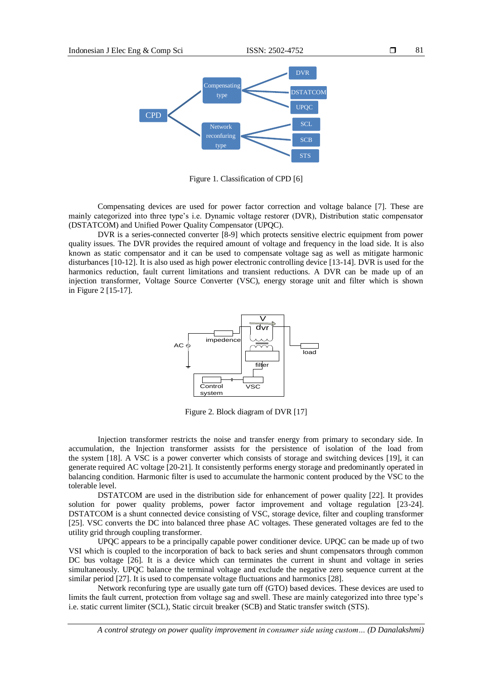

Figure 1. Classification of CPD [6]

Compensating devices are used for power factor correction and voltage balance [7]. These are mainly categorized into three type's i.e. Dynamic voltage restorer (DVR), Distribution static compensator (DSTATCOM) and Unified Power Quality Compensator (UPQC).

DVR is a series-connected converter [8-9] which protects sensitive electric equipment from power quality issues. The DVR provides the required amount of voltage and frequency in the load side. It is also known as static compensator and it can be used to compensate voltage sag as well as mitigate harmonic disturbances [10-12]. It is also used as high power electronic controlling device [13-14]. DVR is used for the harmonics reduction, fault current limitations and transient reductions. A DVR can be made up of an injection transformer, Voltage Source Converter (VSC), energy storage unit and filter which is shown in Figure 2 [15-17].



Figure 2. Block diagram of DVR [17]

Injection transformer restricts the noise and transfer energy from primary to secondary side. In accumulation, the Injection transformer assists for the persistence of isolation of the load from the system [18]. A VSC is a power converter which consists of storage and switching devices [19], it can generate required AC voltage [20-21]. It consistently performs energy storage and predominantly operated in balancing condition. Harmonic filter is used to accumulate the harmonic content produced by the VSC to the tolerable level.

DSTATCOM are used in the distribution side for enhancement of power quality [22]. It provides solution for power quality problems, power factor improvement and voltage regulation [23-24]. DSTATCOM is a shunt connected device consisting of VSC, storage device, filter and coupling transformer [25]. VSC converts the DC into balanced three phase AC voltages. These generated voltages are fed to the utility grid through coupling transformer.

UPQC appears to be a principally capable power conditioner device. UPQC can be made up of two VSI which is coupled to the incorporation of back to back series and shunt compensators through common DC bus voltage [26]. It is a device which can terminates the current in shunt and voltage in series simultaneously. UPQC balance the terminal voltage and exclude the negative zero sequence current at the similar period [27]. It is used to compensate voltage fluctuations and harmonics [28].

Network reconfuring type are usually gate turn off (GTO) based devices. These devices are used to limits the fault current, protection from voltage sag and swell. These are mainly categorized into three type's i.e. static current limiter (SCL), Static circuit breaker (SCB) and Static transfer switch (STS).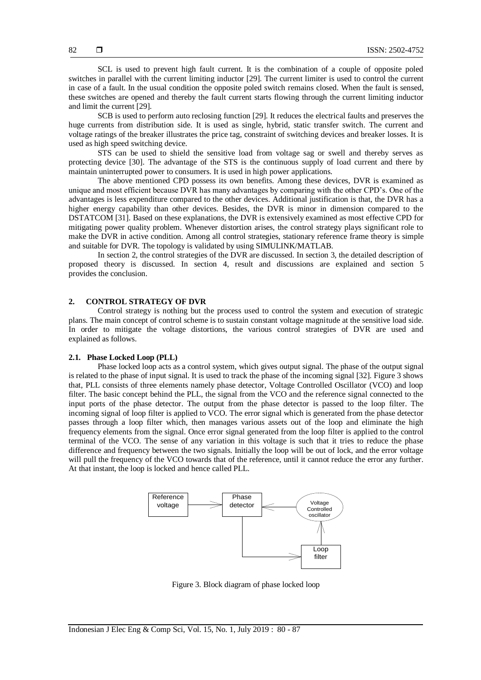SCL is used to prevent high fault current. It is the combination of a couple of opposite poled switches in parallel with the current limiting inductor [29]. The current limiter is used to control the current in case of a fault. In the usual condition the opposite poled switch remains closed. When the fault is sensed, these switches are opened and thereby the fault current starts flowing through the current limiting inductor and limit the current [29].

SCB is used to perform auto reclosing function [29]. It reduces the electrical faults and preserves the huge currents from distribution side. It is used as single, hybrid, static transfer switch. The current and voltage ratings of the breaker illustrates the price tag, constraint of switching devices and breaker losses. It is used as high speed switching device.

STS can be used to shield the sensitive load from voltage sag or swell and thereby serves as protecting device [30]. The advantage of the STS is the continuous supply of load current and there by maintain uninterrupted power to consumers. It is used in high power applications.

The above mentioned CPD possess its own benefits. Among these devices, DVR is examined as unique and most efficient because DVR has many advantages by comparing with the other CPD's. One of the advantages is less expenditure compared to the other devices. Additional justification is that, the DVR has a higher energy capability than other devices. Besides, the DVR is minor in dimension compared to the DSTATCOM [31]. Based on these explanations, the DVR is extensively examined as most effective CPD for mitigating power quality problem. Whenever distortion arises, the control strategy plays significant role to make the DVR in active condition. Among all control strategies, stationary reference frame theory is simple and suitable for DVR. The topology is validated by using SIMULINK/MATLAB.

In section 2, the control strategies of the DVR are discussed. In section 3, the detailed description of proposed theory is discussed. In section 4, result and discussions are explained and section 5 provides the conclusion.

#### **2. CONTROL STRATEGY OF DVR**

Control strategy is nothing but the process used to control the system and execution of strategic plans. The main concept of control scheme is to sustain constant voltage magnitude at the sensitive load side. In order to mitigate the voltage distortions, the various control strategies of DVR are used and explained as follows.

#### **2.1. Phase Locked Loop (PLL)**

Phase locked loop acts as a control system, which gives output signal. The phase of the output signal is related to the phase of input signal. It is used to track the phase of the incoming signal [32]. Figure 3 shows that, PLL consists of three elements namely phase detector, Voltage Controlled Oscillator (VCO) and loop filter. The basic concept behind the PLL, the signal from the VCO and the reference signal connected to the input ports of the phase detector. The output from the phase detector is passed to the loop filter. The incoming signal of loop filter is applied to VCO. The error signal which is generated from the phase detector passes through a loop filter which, then manages various assets out of the loop and eliminate the high frequency elements from the signal. Once error signal generated from the loop filter is applied to the control terminal of the VCO. The sense of any variation in this voltage is such that it tries to reduce the phase difference and frequency between the two signals. Initially the loop will be out of lock, and the error voltage will pull the frequency of the VCO towards that of the reference, until it cannot reduce the error any further. At that instant, the loop is locked and hence called PLL.



Figure 3. Block diagram of phase locked loop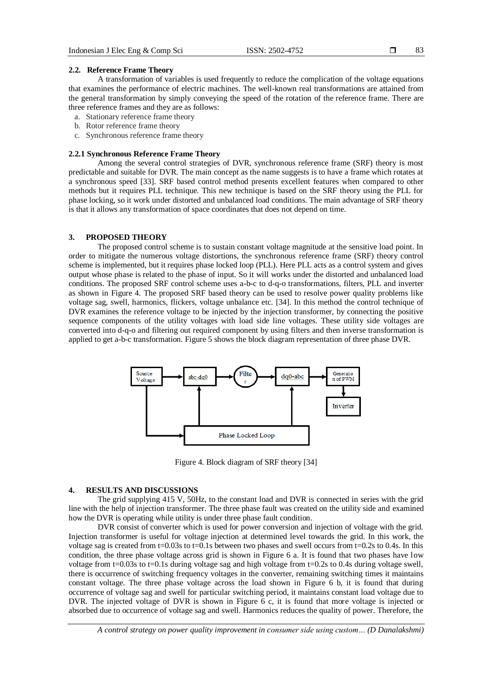83

#### **2.2. Reference Frame Theory**

A transformation of variables is used frequently to reduce the complication of the voltage equations that examines the performance of electric machines. The well-known real transformations are attained from the general transformation by simply conveying the speed of the rotation of the reference frame. There are three reference frames and they are as follows:

- a. Stationary reference frame theory
- b. Rotor reference frame theory
- c. Synchronous reference frame theory

## **2.2.1 Synchronous Reference Frame Theory**

Among the several control strategies of DVR, synchronous reference frame (SRF) theory is most predictable and suitable for DVR. The main concept as the name suggests is to have a frame which rotates at a synchronous speed [33]. SRF based control method presents excellent features when compared to other methods but it requires PLL technique. This new technique is based on the SRF theory using the PLL for phase locking, so it work under distorted and unbalanced load conditions. The main advantage of SRF theory is that it allows any transformation of space coordinates that does not depend on time.

#### **3. PROPOSED THEORY**

The proposed control scheme is to sustain constant voltage magnitude at the sensitive load point. In order to mitigate the numerous voltage distortions, the synchronous reference frame (SRF) theory control scheme is implemented, but it requires phase locked loop (PLL). Here PLL acts as a control system and gives output whose phase is related to the phase of input. So it will works under the distorted and unbalanced load conditions. The proposed SRF control scheme uses a-b-c to d-q-o transformations, filters, PLL and inverter as shown in Figure 4. The proposed SRF based theory can be used to resolve power quality problems like voltage sag, swell, harmonics, flickers, voltage unbalance etc. [34]. In this method the control technique of DVR examines the reference voltage to be injected by the injection transformer, by connecting the positive sequence components of the utility voltages with load side line voltages. These utility side voltages are converted into d-q-o and filtering out required component by using filters and then inverse transformation is applied to get a-b-c transformation. Figure 5 shows the block diagram representation of three phase DVR.



Figure 4. Block diagram of SRF theory [34]

## **4. RESULTS AND DISCUSSIONS**

The grid supplying 415 V, 50Hz, to the constant load and DVR is connected in series with the grid line with the help of injection transformer. The three phase fault was created on the utility side and examined how the DVR is operating while utility is under three phase fault condition.

DVR consist of converter which is used for power conversion and injection of voltage with the grid. Injection transformer is useful for voltage injection at determined level towards the grid. In this work, the voltage sag is created from t=0.03s to t=0.1s between two phases and swell occurs from t=0.2s to 0.4s. In this condition, the three phase voltage across grid is shown in Figure 6 a. It is found that two phases have low voltage from t=0.03s to t=0.1s during voltage sag and high voltage from t=0.2s to 0.4s during voltage swell. there is occurrence of switching frequency voltages in the converter, remaining switching times it maintains constant voltage. The three phase voltage across the load shown in Figure 6 b, it is found that during occurrence of voltage sag and swell for particular switching period, it maintains constant load voltage due to DVR. The injected voltage of DVR is shown in Figure 6 c, it is found that more voltage is injected or absorbed due to occurrence of voltage sag and swell. Harmonics reduces the quality of power. Therefore, the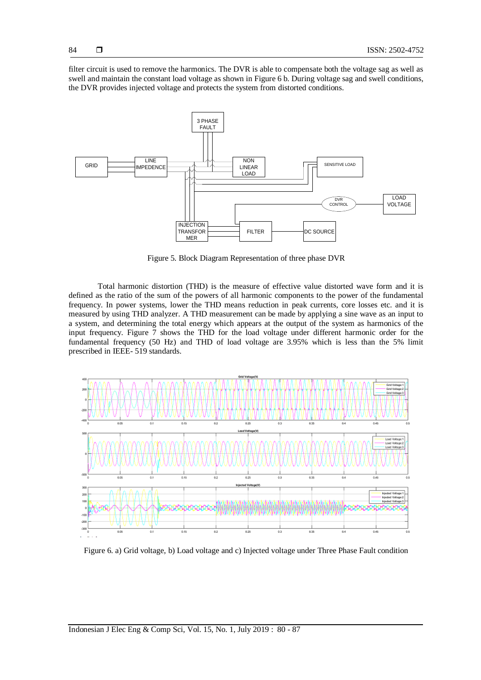filter circuit is used to remove the harmonics. The DVR is able to compensate both the voltage sag as well as swell and maintain the constant load voltage as shown in Figure 6 b. During voltage sag and swell conditions, the DVR provides injected voltage and protects the system from distorted conditions.



Figure 5. Block Diagram Representation of three phase DVR

Total harmonic distortion (THD) is the measure of effective value distorted wave form and it is defined as the ratio of the sum of the powers of all harmonic components to the power of the fundamental frequency. In power systems, lower the THD means reduction in peak currents, core losses etc. and it is measured by using THD analyzer. A THD measurement can be made by applying a sine wave as an input to a system, and determining the total energy which appears at the output of the system as harmonics of the input frequency. Figure 7 shows the THD for the load voltage under different harmonic order for the fundamental frequency (50 Hz) and THD of load voltage are 3.95% which is less than the 5% limit prescribed in IEEE- 519 standards.



Figure 6. a) Grid voltage, b) Load voltage and c) Injected voltage under Three Phase Fault condition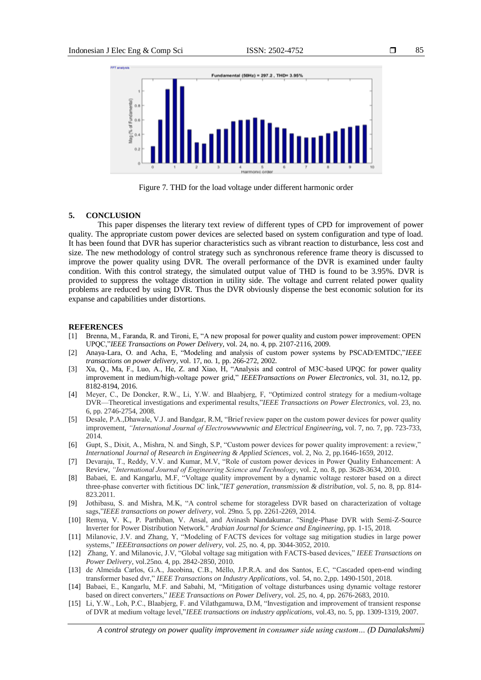

Figure 7. THD for the load voltage under different harmonic order

#### **5. CONCLUSION**

This paper dispenses the literary text review of different types of CPD for improvement of power quality. The appropriate custom power devices are selected based on system configuration and type of load. It has been found that DVR has superior characteristics such as vibrant reaction to disturbance, less cost and size. The new methodology of control strategy such as synchronous reference frame theory is discussed to improve the power quality using DVR. The overall performance of the DVR is examined under faulty condition. With this control strategy, the simulated output value of THD is found to be 3.95%. DVR is provided to suppress the voltage distortion in utility side. The voltage and current related power quality problems are reduced by using DVR. Thus the DVR obviously dispense the best economic solution for its expanse and capabilities under distortions.

#### **REFERENCES**

- [1] Brenna, M., Faranda, R. and Tironi, E, "A new proposal for power quality and custom power improvement: OPEN UPQC,"*IEEE Transactions on Power Delivery*, vol. 24, no. 4, pp. 2107-2116, 2009.
- [2] Anaya-Lara, O. and Acha, E, "Modeling and analysis of custom power systems by PSCAD/EMTDC,"*IEEE transactions on power delivery*, vol. 17, no. 1*,* pp. 266-272, 2002.
- [3] Xu, Q., Ma, F., Luo, A., He, Z. and Xiao, H, "Analysis and control of M3C-based UPQC for power quality improvement in medium/high-voltage power grid," *IEEETransactions on Power Electronics*, vol. 31*,* no.12, pp. 8182-8194, 2016.
- [4] Meyer, C., De Doncker, R.W., Li, Y.W. and Blaabjerg, F, "Optimized control strategy for a medium-voltage DVR—Theoretical investigations and experimental results,"*IEEE Transactions on Power Electronics*, vol. 23*,* no*.*  6, pp. 2746-2754, 2008.
- [5] Desale, P.A.,Dhawale, V.J. and Bandgar, R.M, "Brief review paper on the custom power devices for power quality improvement, *"International Journal of Electrowwwwwnic and Electrical Engineering***,** vol. 7, no. 7, pp. 723-733, 2014.
- [6] Gupt, S., Dixit, A., Mishra, N. and Singh, S.P, "Custom power devices for power quality improvement: a review," *International Journal of Research in Engineering & Applied Sciences*, vol. 2, No*.* 2, pp.1646-1659, 2012.
- [7] Devaraju, T., Reddy, V.V. and Kumar, M.V, "Role of custom power devices in Power Quality Enhancement: A Review, *"International Journal of Engineering Science and Technology*, vol. 2*,* no*.* 8, pp. 3628-3634, 2010.
- [8] Babaei, E. and Kangarlu, M.F, "Voltage quality improvement by a dynamic voltage restorer based on a direct three-phase converter with fictitious DC link,"*IET generation, transmission & distribution*, vol. *5,* no*.* 8, pp. 814- 823.2011.
- [9] Jothibasu, S. and Mishra, M.K, "A control scheme for storageless DVR based on characterization of voltage sags,"*IEEE transactions on power delivery*, vol. 29no*.* 5, pp. 2261-2269, 2014.
- [10] Remya, V. K., P. Parthiban, V. Ansal, and Avinash Nandakumar. "Single-Phase DVR with Semi-Z-Source Inverter for Power Distribution Network." *Arabian Journal for Science and Engineering,* pp. 1-15, 2018.
- [11] Milanovic, J.V. and Zhang, Y, "Modeling of FACTS devices for voltage sag mitigation studies in large power systems," *IEEEtransactions on power delivery*, vol. *25,* no. 4*,* pp. 3044-3052, 2010.
- [12] Zhang, Y. and Milanovic, J.V, "Global voltage sag mitigation with FACTS-based devices," *IEEE Transactions on Power Delivery*, vol.25no*.* 4, pp. 2842-2850, 2010.
- [13] de Almeida Carlos, G.A., Jacobina, C.B., Méllo, J.P.R.A. and dos Santos, E.C, "Cascaded open-end winding transformer based dvr," *IEEE Transactions on Industry Applications*, vol. 54*,* no. 2,pp. 1490-1501, 2018.
- [14] Babaei, E., Kangarlu, M.F. and Sabahi, M, "Mitigation of voltage disturbances using dynamic voltage restorer based on direct converters," *IEEE Transactions on Power Delivery*, vol. *25,* no*.* 4, pp. 2676-2683, 2010.
- [15] Li, Y.W., Loh, P.C., Blaabjerg, F. and Vilathgamuwa, D.M, "Investigation and improvement of transient response of DVR at medium voltage level,"*IEEE transactions on industry applications*, vol.43, no. 5, pp. 1309-1319, 2007.

85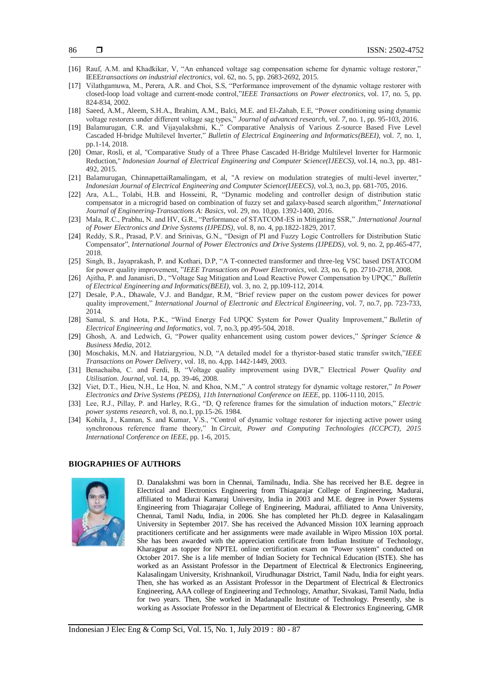- [16] Rauf, A.M. and Khadkikar, V, "An enhanced voltage sag compensation scheme for dynamic voltage restorer," IEEE*transactions on industrial electronics*, vol. 62, no. 5, pp. 2683-2692, 2015.
- [17] Vilathgamuwa, M., Perera, A.R. and Choi, S.S, "Performance improvement of the dynamic voltage restorer with closed-loop load voltage and current-mode control,"*IEEE Transactions on Power electronics*, vol. 17*,* no*.* 5, pp. 824-834, 2002.
- [18] Saeed, A.M., Aleem, S.H.A., Ibrahim, A.M., Balci, M.E. and El-Zahab, E.E, "Power conditioning using dynamic voltage restorers under different voltage sag types," *Journal of advanced research*, vol. *7,* no*.* 1, pp. 95-103, 2016.
- [19] Balamurugan, C.R. and Vijayalakshmi, K.," Comparative Analysis of Various Z-source Based Five Level Cascaded H-bridge Multilevel Inverter," *Bulletin of Electrical Engineering and Informatics(BEEI)*, vol. *7,* no. 1, pp.1-14, 2018.
- [20] Omar, Rosli, et al, "Comparative Study of a Three Phase Cascaded H-Bridge Multilevel Inverter for Harmonic Reduction," *Indonesian Journal of Electrical Engineering and Computer Science(IJEECS),* vol.14, no.3, pp. 481- 492, 2015.
- [21] Balamurugan, ChinnapettaiRamalingam, et al, "A review on modulation strategies of multi-level inverter," *Indonesian Journal of Electrical Engineering and Computer Science(IJEECS),* vol.3, no.3, pp. 681-705, 2016.
- [22] Ara, A.L., Tolabi, H.B. and Hosseini, R, "Dynamic modeling and controller design of distribution static compensator in a microgrid based on combination of fuzzy set and galaxy-based search algorithm," *International Journal of Engineering-Transactions A: Basics*, vol. 29, no. 10,pp. 1392-1400, 2016.
- [23] Mala, R.C., Prabhu, N. and HV, G.R., "Performance of STATCOM-ES in Mitigating SSR," .*International Journal of Power Electronics and Drive Systems (IJPEDS)*, vol. 8, no. 4, pp.1822-1829, 2017.
- [24] Reddy, S.R., Prasad, P.V. and Srinivas, G.N., "Design of PI and Fuzzy Logic Controllers for Distribution Static Compensator", *International Journal of Power Electronics and Drive Systems (IJPEDS)*, vol. 9, no. 2, pp.465-477, 2018.
- [25] Singh, B., Jayaprakash, P. and Kothari, D.P, "A T-connected transformer and three-leg VSC based DSTATCOM for power quality improvement, "*IEEE Transactions on Power Electronics*, vol. 23*,* no*.* 6, pp. 2710-2718, 2008.
- [26] Ajitha, P. and Jananisri, D., "Voltage Sag Mitigation and Load Reactive Power Compensation by UPQC," *Bulletin of Electrical Engineering and Informatics(BEEI)*, vol. 3*,* no*.* 2, pp.109-112, 2014.
- [27] Desale, P.A., Dhawale, V.J. and Bandgar, R.M, "Brief review paper on the custom power devices for power quality improvement," *International Journal of Electronic and Electrical Engineering*, vol. 7, no.7, pp. 723-733, 2014.
- [28] Samal, S. and Hota, P.K., "Wind Energy Fed UPQC System for Power Quality Improvement," *Bulletin of Electrical Engineering and Informatics*, vol. 7, no.3, pp.495-504, 2018.
- [29] Ghosh, A. and Ledwich, G, "Power quality enhancement using custom power devices*,*" *Springer Science & Business Media*, 2012.
- [30] Moschakis, M.N. and Hatziargyriou, N.D, "A detailed model for a thyristor-based static transfer switch,"*IEEE Transactions on Power Delivery*, vol. 18*,* no. 4,pp. 1442-1449, 2003.
- [31] Benachaiba, C. and Ferdi, B, "Voltage quality improvement using DVR," Electrical *Power Quality and Utilisation. Journal*, vol. 14, pp. 39-46, 2008.
- [32] Viet, D.T., Hieu, N.H., Le Hoa, N. and Khoa, N.M.," A control strategy for dynamic voltage restorer," *In Power Electronics and Drive Systems (PEDS), 11th International Conference on IEEE*, pp. 1106-1110, 2015.
- [33] Lee, R.J., Pillay, P. and Harley, R.G., "D, Q reference frames for the simulation of induction motors," *Electric power systems research*, vol. 8, no.1, pp.15-26. 1984.
- [34] Kohila, J., Kannan, S. and Kumar, V.S., "Control of dynamic voltage restorer for injecting active power using synchronous reference frame theory," In *Circuit, Power and Computing Technologies (ICCPCT), 2015 International Conference on IEEE*, pp. 1-6, 2015.

#### **BIOGRAPHIES OF AUTHORS**



D. Danalakshmi was born in Chennai, Tamilnadu, India. She has received her B.E. degree in Electrical and Electronics Engineering from Thiagarajar College of Engineering, Madurai, affiliated to Madurai Kamaraj University, India in 2003 and M.E. degree in Power Systems Engineering from Thiagarajar College of Engineering, Madurai, affiliated to Anna University, Chennai, Tamil Nadu, India, in 2006. She has completed her Ph.D. degree in Kalasalingam University in September 2017. She has received the Advanced Mission 10X learning approach practitioners certificate and her assignments were made available in Wipro Mission 10X portal. She has been awarded with the appreciation certificate from Indian Institute of Technology, Kharagpur as topper for NPTEL online certification exam on "Power system" conducted on October 2017. She is a life member of Indian Society for Technical Education (ISTE). She has worked as an Assistant Professor in the Department of Electrical & Electronics Engineering, Kalasalingam University, Krishnankoil, Virudhunagar District, Tamil Nadu, India for eight years. Then, she has worked as an Assistant Professor in the Department of Electrical & Electronics Engineering, AAA college of Engineering and Technology, Amathur, Sivakasi, Tamil Nadu, India for two years. Then, She worked in Madanapalle Institute of Technology. Presently, she is working as Associate Professor in the Department of Electrical & Electronics Engineering, GMR